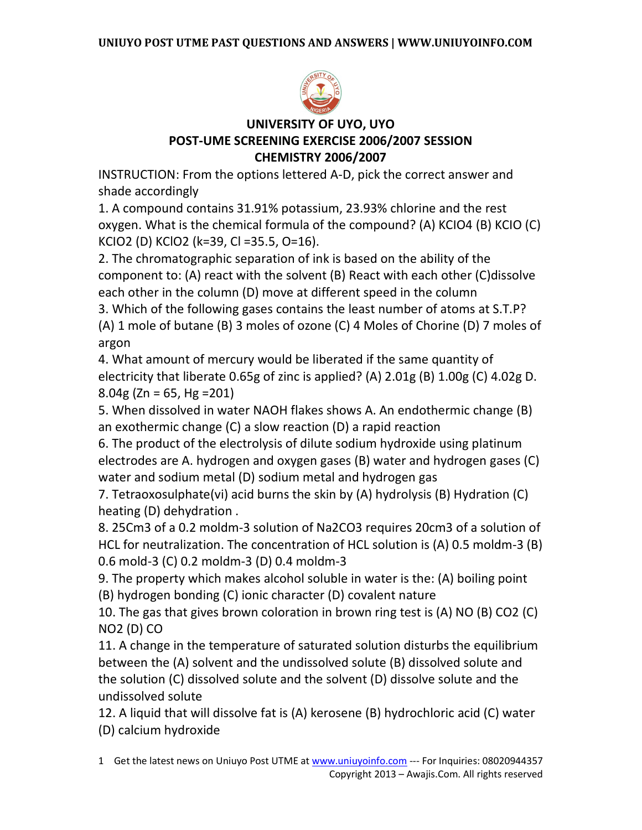

## **UNIVERSITY OF UYO, UYO POST-UME SCREENING EXERCISE 2006/2007 SESSION CHEMISTRY 2006/2007**

INSTRUCTION: From the options lettered A-D, pick the correct answer and shade accordingly

1. A compound contains 31.91% potassium, 23.93% chlorine and the rest oxygen. What is the chemical formula of the compound? (A) KCIO4 (B) KCIO (C) KCIO2 (D) KClO2 (k=39, Cl =35.5, O=16).

2. The chromatographic separation of ink is based on the ability of the component to: (A) react with the solvent (B) React with each other (C)dissolve each other in the column (D) move at different speed in the column

3. Which of the following gases contains the least number of atoms at S.T.P? (A) 1 mole of butane (B) 3 moles of ozone (C) 4 Moles of Chorine (D) 7 moles of argon

4. What amount of mercury would be liberated if the same quantity of electricity that liberate 0.65g of zinc is applied? (A) 2.01g (B) 1.00g (C) 4.02g D.  $8.04g$  (Zn = 65, Hg = 201)

5. When dissolved in water NAOH flakes shows A. An endothermic change (B) an exothermic change (C) a slow reaction (D) a rapid reaction

6. The product of the electrolysis of dilute sodium hydroxide using platinum electrodes are A. hydrogen and oxygen gases (B) water and hydrogen gases (C) water and sodium metal (D) sodium metal and hydrogen gas

7. Tetraoxosulphate(vi) acid burns the skin by (A) hydrolysis (B) Hydration (C) heating (D) dehydration .

8. 25Cm3 of a 0.2 moldm-3 solution of Na2CO3 requires 20cm3 of a solution of HCL for neutralization. The concentration of HCL solution is (A) 0.5 moldm-3 (B) 0.6 mold-3 (C) 0.2 moldm-3 (D) 0.4 moldm-3

9. The property which makes alcohol soluble in water is the: (A) boiling point (B) hydrogen bonding (C) ionic character (D) covalent nature

10. The gas that gives brown coloration in brown ring test is (A) NO (B) CO2 (C) NO2 (D) CO

11. A change in the temperature of saturated solution disturbs the equilibrium between the (A) solvent and the undissolved solute (B) dissolved solute and the solution (C) dissolved solute and the solvent (D) dissolve solute and the undissolved solute

12. A liquid that will dissolve fat is (A) kerosene (B) hydrochloric acid (C) water (D) calcium hydroxide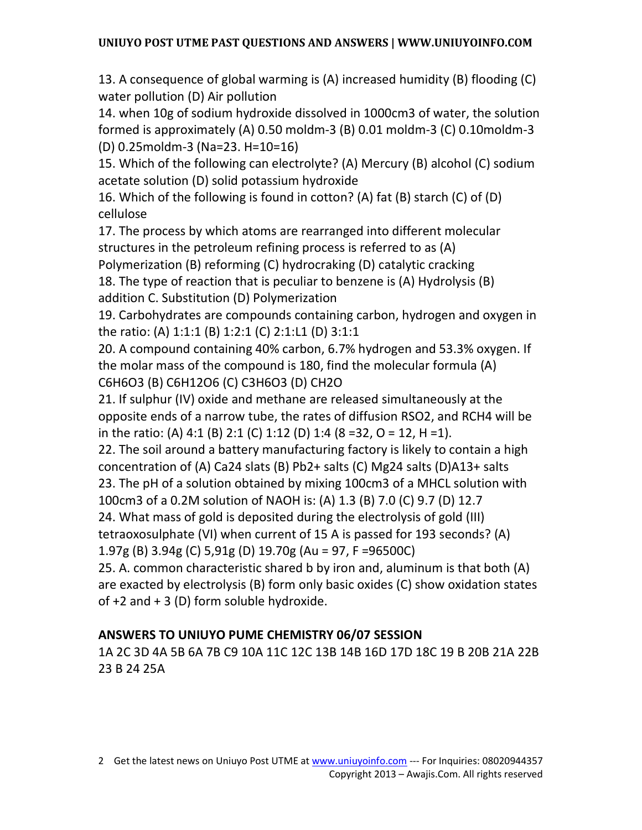13. A consequence of global warming is (A) increased humidity (B) flooding (C) water pollution (D) Air pollution

14. when 10g of sodium hydroxide dissolved in 1000cm3 of water, the solution formed is approximately (A) 0.50 moldm-3 (B) 0.01 moldm-3 (C) 0.10moldm-3 (D) 0.25moldm-3 (Na=23. H=10=16)

15. Which of the following can electrolyte? (A) Mercury (B) alcohol (C) sodium acetate solution (D) solid potassium hydroxide

16. Which of the following is found in cotton? (A) fat (B) starch (C) of (D) cellulose

17. The process by which atoms are rearranged into different molecular structures in the petroleum refining process is referred to as (A)

Polymerization (B) reforming (C) hydrocraking (D) catalytic cracking

18. The type of reaction that is peculiar to benzene is (A) Hydrolysis (B) addition C. Substitution (D) Polymerization

19. Carbohydrates are compounds containing carbon, hydrogen and oxygen in the ratio: (A) 1:1:1 (B) 1:2:1 (C) 2:1:L1 (D) 3:1:1

20. A compound containing 40% carbon, 6.7% hydrogen and 53.3% oxygen. If the molar mass of the compound is 180, find the molecular formula (A) C6H6O3 (B) C6H12O6 (C) C3H6O3 (D) CH2O

21. If sulphur (IV) oxide and methane are released simultaneously at the opposite ends of a narrow tube, the rates of diffusion RSO2, and RCH4 will be in the ratio: (A) 4:1 (B) 2:1 (C) 1:12 (D) 1:4 (8 = 32, 0 = 12, H = 1).

22. The soil around a battery manufacturing factory is likely to contain a high concentration of (A) Ca24 slats (B) Pb2+ salts (C) Mg24 salts (D)A13+ salts 23. The pH of a solution obtained by mixing 100cm3 of a MHCL solution with 100cm3 of a 0.2M solution of NAOH is: (A) 1.3 (B) 7.0 (C) 9.7 (D) 12.7

24. What mass of gold is deposited during the electrolysis of gold (III)

tetraoxosulphate (VI) when current of 15 A is passed for 193 seconds? (A)

1.97g (B) 3.94g (C) 5,91g (D) 19.70g (Au = 97, F =96500C)

25. A. common characteristic shared b by iron and, aluminum is that both (A) are exacted by electrolysis (B) form only basic oxides (C) show oxidation states of  $+2$  and  $+3$  (D) form soluble hydroxide.

## **ANSWERS TO UNIUYO PUME CHEMISTRY 06/07 SESSION**

1A 2C 3D 4A 5B 6A 7B C9 10A 11C 12C 13B 14B 16D 17D 18C 19 B 20B 21A 22B 23 B 24 25A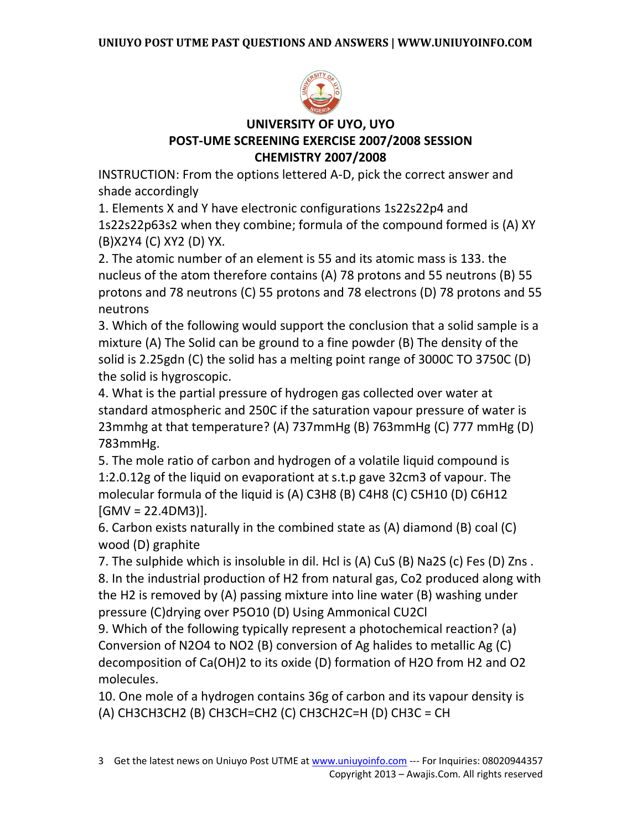

## **UNIVERSITY OF UYO, UYO POST-UME SCREENING EXERCISE 2007/2008 SESSION CHEMISTRY 2007/2008**

INSTRUCTION: From the options lettered A-D, pick the correct answer and shade accordingly

1. Elements X and Y have electronic configurations 1s22s22p4 and 1s22s22p63s2 when they combine; formula of the compound formed is (A) XY (B)X2Y4 (C) XY2 (D) YX.

2. The atomic number of an element is 55 and its atomic mass is 133. the nucleus of the atom therefore contains (A) 78 protons and 55 neutrons (B) 55 protons and 78 neutrons (C) 55 protons and 78 electrons (D) 78 protons and 55 neutrons

3. Which of the following would support the conclusion that a solid sample is a mixture (A) The Solid can be ground to a fine powder (B) The density of the solid is 2.25gdn (C) the solid has a melting point range of 3000C TO 3750C (D) the solid is hygroscopic.

4. What is the partial pressure of hydrogen gas collected over water at standard atmospheric and 250C if the saturation vapour pressure of water is 23mmhg at that temperature? (A) 737mmHg (B) 763mmHg (C) 777 mmHg (D) 783mmHg.

5. The mole ratio of carbon and hydrogen of a volatile liquid compound is 1:2.0.12g of the liquid on evaporationt at s.t.p gave 32cm3 of vapour. The molecular formula of the liquid is (A) C3H8 (B) C4H8 (C) C5H10 (D) C6H12  $[GMV = 22.4DM3]$ .

6. Carbon exists naturally in the combined state as (A) diamond (B) coal (C) wood (D) graphite

7. The sulphide which is insoluble in dil. Hcl is (A) CuS (B) Na2S (c) Fes (D) Zns . 8. In the industrial production of H2 from natural gas, Co2 produced along with the H2 is removed by (A) passing mixture into line water (B) washing under pressure (C)drying over P5O10 (D) Using Ammonical CU2Cl

9. Which of the following typically represent a photochemical reaction? (a) Conversion of N2O4 to NO2 (B) conversion of Ag halides to metallic Ag (C) decomposition of Ca(OH)2 to its oxide (D) formation of H2O from H2 and O2 molecules.

10. One mole of a hydrogen contains 36g of carbon and its vapour density is (A) CH3CH3CH2 (B) CH3CH=CH2 (C) CH3CH2C=H (D) CH3C = CH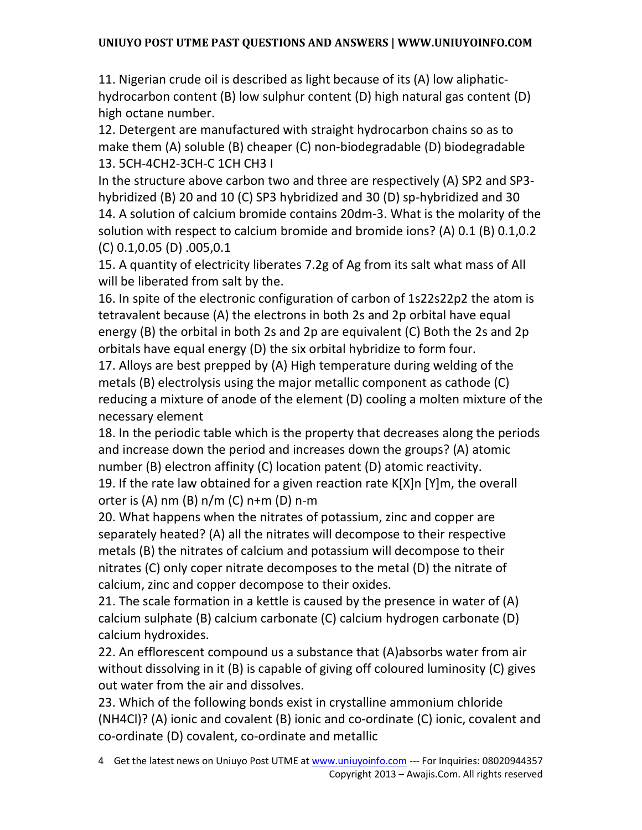11. Nigerian crude oil is described as light because of its (A) low aliphatichydrocarbon content (B) low sulphur content (D) high natural gas content (D) high octane number.

12. Detergent are manufactured with straight hydrocarbon chains so as to make them (A) soluble (B) cheaper (C) non-biodegradable (D) biodegradable 13. 5CH-4CH2-3CH-C 1CH CH3 I

In the structure above carbon two and three are respectively (A) SP2 and SP3 hybridized (B) 20 and 10 (C) SP3 hybridized and 30 (D) sp-hybridized and 30 14. A solution of calcium bromide contains 20dm-3. What is the molarity of the solution with respect to calcium bromide and bromide ions? (A) 0.1 (B) 0.1,0.2 (C) 0.1,0.05 (D) .005,0.1

15. A quantity of electricity liberates 7.2g of Ag from its salt what mass of All will be liberated from salt by the.

16. In spite of the electronic configuration of carbon of 1s22s22p2 the atom is tetravalent because (A) the electrons in both 2s and 2p orbital have equal energy (B) the orbital in both 2s and 2p are equivalent (C) Both the 2s and 2p orbitals have equal energy (D) the six orbital hybridize to form four.

17. Alloys are best prepped by (A) High temperature during welding of the metals (B) electrolysis using the major metallic component as cathode (C) reducing a mixture of anode of the element (D) cooling a molten mixture of the necessary element

18. In the periodic table which is the property that decreases along the periods and increase down the period and increases down the groups? (A) atomic number (B) electron affinity (C) location patent (D) atomic reactivity.

19. If the rate law obtained for a given reaction rate K[X]n [Y]m, the overall orter is (A) nm (B) n/m (C) n+m (D) n-m

20. What happens when the nitrates of potassium, zinc and copper are separately heated? (A) all the nitrates will decompose to their respective metals (B) the nitrates of calcium and potassium will decompose to their nitrates (C) only coper nitrate decomposes to the metal (D) the nitrate of calcium, zinc and copper decompose to their oxides.

21. The scale formation in a kettle is caused by the presence in water of (A) calcium sulphate (B) calcium carbonate (C) calcium hydrogen carbonate (D) calcium hydroxides.

22. An efflorescent compound us a substance that (A)absorbs water from air without dissolving in it (B) is capable of giving off coloured luminosity (C) gives out water from the air and dissolves.

23. Which of the following bonds exist in crystalline ammonium chloride (NH4Cl)? (A) ionic and covalent (B) ionic and co-ordinate (C) ionic, covalent and co-ordinate (D) covalent, co-ordinate and metallic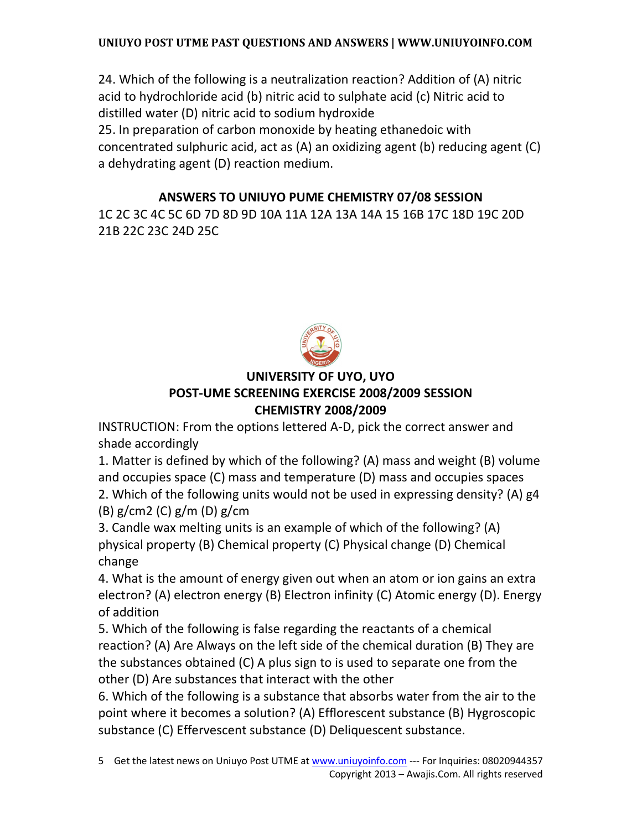24. Which of the following is a neutralization reaction? Addition of (A) nitric acid to hydrochloride acid (b) nitric acid to sulphate acid (c) Nitric acid to distilled water (D) nitric acid to sodium hydroxide 25. In preparation of carbon monoxide by heating ethanedoic with concentrated sulphuric acid, act as (A) an oxidizing agent (b) reducing agent (C) a dehydrating agent (D) reaction medium.

### **ANSWERS TO UNIUYO PUME CHEMISTRY 07/08 SESSION**

1C 2C 3C 4C 5C 6D 7D 8D 9D 10A 11A 12A 13A 14A 15 16B 17C 18D 19C 20D 21B 22C 23C 24D 25C



### **UNIVERSITY OF UYO, UYO POST-UME SCREENING EXERCISE 2008/2009 SESSION CHEMISTRY 2008/2009**

INSTRUCTION: From the options lettered A-D, pick the correct answer and shade accordingly

1. Matter is defined by which of the following? (A) mass and weight (B) volume and occupies space (C) mass and temperature (D) mass and occupies spaces

2. Which of the following units would not be used in expressing density? (A) g4 (B) g/cm2 (C) g/m (D) g/cm

3. Candle wax melting units is an example of which of the following? (A) physical property (B) Chemical property (C) Physical change (D) Chemical change

4. What is the amount of energy given out when an atom or ion gains an extra electron? (A) electron energy (B) Electron infinity (C) Atomic energy (D). Energy of addition

5. Which of the following is false regarding the reactants of a chemical reaction? (A) Are Always on the left side of the chemical duration (B) They are the substances obtained (C) A plus sign to is used to separate one from the other (D) Are substances that interact with the other

6. Which of the following is a substance that absorbs water from the air to the point where it becomes a solution? (A) Efflorescent substance (B) Hygroscopic substance (C) Effervescent substance (D) Deliquescent substance.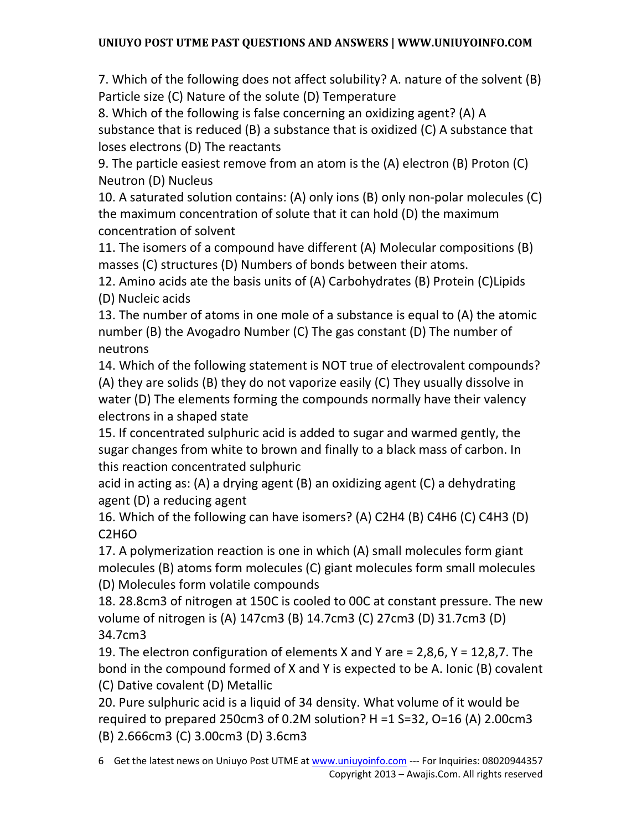7. Which of the following does not affect solubility? A. nature of the solvent (B) Particle size (C) Nature of the solute (D) Temperature

8. Which of the following is false concerning an oxidizing agent? (A) A substance that is reduced (B) a substance that is oxidized (C) A substance that loses electrons (D) The reactants

9. The particle easiest remove from an atom is the (A) electron (B) Proton (C) Neutron (D) Nucleus

10. A saturated solution contains: (A) only ions (B) only non-polar molecules (C) the maximum concentration of solute that it can hold (D) the maximum concentration of solvent

11. The isomers of a compound have different (A) Molecular compositions (B) masses (C) structures (D) Numbers of bonds between their atoms.

12. Amino acids ate the basis units of (A) Carbohydrates (B) Protein (C)Lipids (D) Nucleic acids

13. The number of atoms in one mole of a substance is equal to (A) the atomic number (B) the Avogadro Number (C) The gas constant (D) The number of neutrons

14. Which of the following statement is NOT true of electrovalent compounds? (A) they are solids (B) they do not vaporize easily (C) They usually dissolve in water (D) The elements forming the compounds normally have their valency electrons in a shaped state

15. If concentrated sulphuric acid is added to sugar and warmed gently, the sugar changes from white to brown and finally to a black mass of carbon. In this reaction concentrated sulphuric

acid in acting as: (A) a drying agent (B) an oxidizing agent (C) a dehydrating agent (D) a reducing agent

16. Which of the following can have isomers? (A) C2H4 (B) C4H6 (C) C4H3 (D) C2H6O

17. A polymerization reaction is one in which (A) small molecules form giant molecules (B) atoms form molecules (C) giant molecules form small molecules (D) Molecules form volatile compounds

18. 28.8cm3 of nitrogen at 150C is cooled to 00C at constant pressure. The new volume of nitrogen is (A) 147cm3 (B) 14.7cm3 (C) 27cm3 (D) 31.7cm3 (D) 34.7cm3

19. The electron configuration of elements X and Y are = 2,8,6, Y = 12,8,7. The bond in the compound formed of X and Y is expected to be A. Ionic (B) covalent (C) Dative covalent (D) Metallic

20. Pure sulphuric acid is a liquid of 34 density. What volume of it would be required to prepared 250cm3 of 0.2M solution? H =1 S=32, O=16 (A) 2.00cm3 (B) 2.666cm3 (C) 3.00cm3 (D) 3.6cm3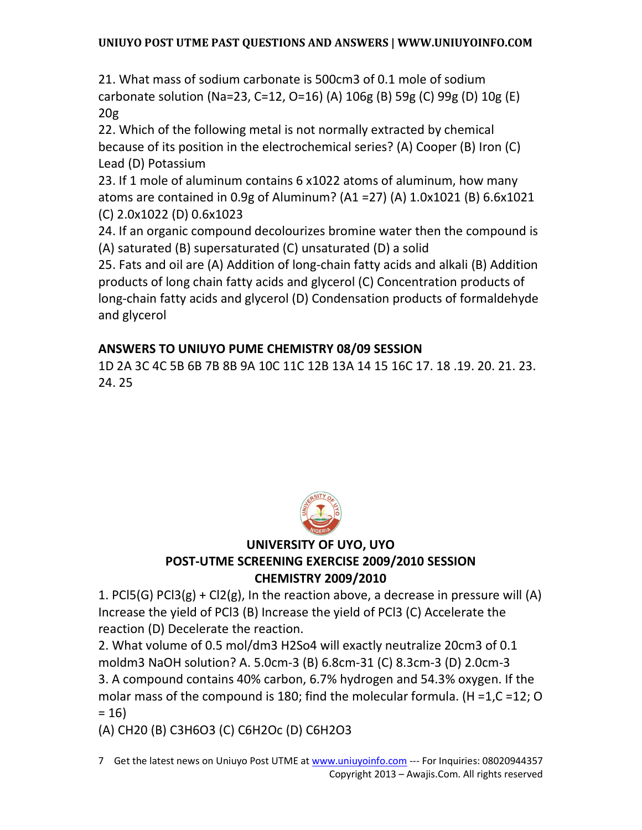21. What mass of sodium carbonate is 500cm3 of 0.1 mole of sodium carbonate solution (Na=23, C=12, O=16) (A) 106g (B) 59g (C) 99g (D) 10g (E) 20g

22. Which of the following metal is not normally extracted by chemical because of its position in the electrochemical series? (A) Cooper (B) Iron (C) Lead (D) Potassium

23. If 1 mole of aluminum contains 6 x1022 atoms of aluminum, how many atoms are contained in 0.9g of Aluminum? (A1 =27) (A) 1.0x1021 (B) 6.6x1021 (C) 2.0x1022 (D) 0.6x1023

24. If an organic compound decolourizes bromine water then the compound is (A) saturated (B) supersaturated (C) unsaturated (D) a solid

25. Fats and oil are (A) Addition of long-chain fatty acids and alkali (B) Addition products of long chain fatty acids and glycerol (C) Concentration products of long-chain fatty acids and glycerol (D) Condensation products of formaldehyde and glycerol

## **ANSWERS TO UNIUYO PUME CHEMISTRY 08/09 SESSION**

1D 2A 3C 4C 5B 6B 7B 8B 9A 10C 11C 12B 13A 14 15 16C 17. 18 .19. 20. 21. 23. 24. 25



## **UNIVERSITY OF UYO, UYO POST-UTME SCREENING EXERCISE 2009/2010 SESSION CHEMISTRY 2009/2010**

1. PCI5(G) PCI3(g) + CI2(g), In the reaction above, a decrease in pressure will (A) Increase the yield of PCl3 (B) Increase the yield of PCl3 (C) Accelerate the reaction (D) Decelerate the reaction.

2. What volume of 0.5 mol/dm3 H2So4 will exactly neutralize 20cm3 of 0.1 moldm3 NaOH solution? A. 5.0cm-3 (B) 6.8cm-31 (C) 8.3cm-3 (D) 2.0cm-3 3. A compound contains 40% carbon, 6.7% hydrogen and 54.3% oxygen. If the molar mass of the compound is 180; find the molecular formula. (H =1,C =12; O  $= 16$ 

(A) CH20 (B) C3H6O3 (C) C6H2Oc (D) C6H2O3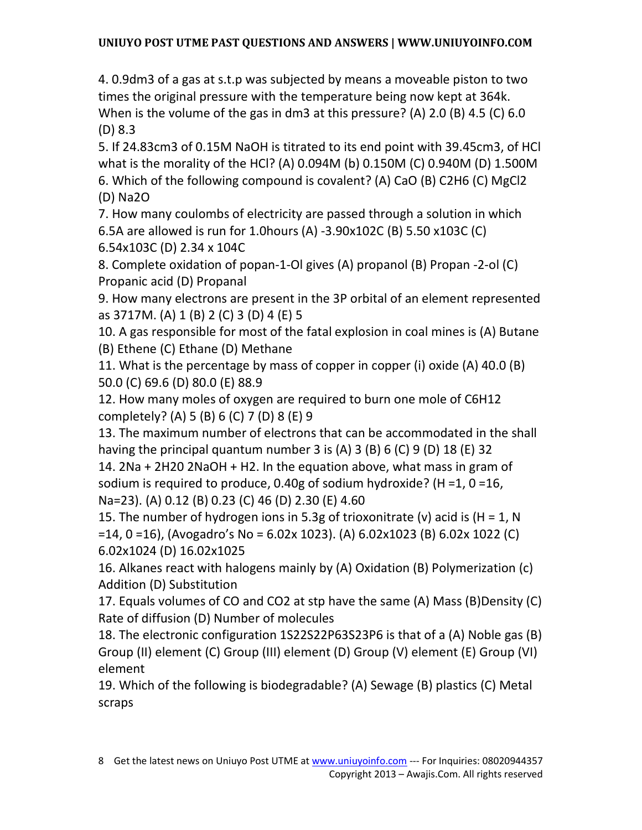4. 0.9dm3 of a gas at s.t.p was subjected by means a moveable piston to two times the original pressure with the temperature being now kept at 364k. When is the volume of the gas in dm3 at this pressure? (A) 2.0 (B) 4.5 (C) 6.0 (D) 8.3

5. If 24.83cm3 of 0.15M NaOH is titrated to its end point with 39.45cm3, of HCl what is the morality of the HCl? (A) 0.094M (b) 0.150M (C) 0.940M (D) 1.500M 6. Which of the following compound is covalent? (A) CaO (B) C2H6 (C) MgCl2 (D) Na2O

7. How many coulombs of electricity are passed through a solution in which 6.5A are allowed is run for 1.0hours (A) -3.90x102C (B) 5.50 x103C (C) 6.54x103C (D) 2.34 x 104C

8. Complete oxidation of popan-1-Ol gives (A) propanol (B) Propan -2-ol (C) Propanic acid (D) Propanal

9. How many electrons are present in the 3P orbital of an element represented as 3717M. (A) 1 (B) 2 (C) 3 (D) 4 (E) 5

10. A gas responsible for most of the fatal explosion in coal mines is (A) Butane (B) Ethene (C) Ethane (D) Methane

11. What is the percentage by mass of copper in copper (i) oxide (A) 40.0 (B) 50.0 (C) 69.6 (D) 80.0 (E) 88.9

12. How many moles of oxygen are required to burn one mole of C6H12 completely? (A) 5 (B) 6 (C) 7 (D) 8 (E) 9

13. The maximum number of electrons that can be accommodated in the shall having the principal quantum number 3 is (A) 3 (B) 6 (C) 9 (D) 18 (E) 32

14. 2Na + 2H20 2NaOH + H2. In the equation above, what mass in gram of sodium is required to produce, 0.40g of sodium hydroxide? (H =1, 0 =16, Na=23). (A) 0.12 (B) 0.23 (C) 46 (D) 2.30 (E) 4.60

15. The number of hydrogen ions in 5.3g of trioxonitrate (v) acid is (H = 1, N =14, 0 =16), (Avogadro's No = 6.02x 1023). (A) 6.02x1023 (B) 6.02x 1022 (C) 6.02x1024 (D) 16.02x1025

16. Alkanes react with halogens mainly by (A) Oxidation (B) Polymerization (c) Addition (D) Substitution

17. Equals volumes of CO and CO2 at stp have the same (A) Mass (B)Density (C) Rate of diffusion (D) Number of molecules

18. The electronic configuration 1S22S22P63S23P6 is that of a (A) Noble gas (B) Group (II) element (C) Group (III) element (D) Group (V) element (E) Group (VI) element

19. Which of the following is biodegradable? (A) Sewage (B) plastics (C) Metal scraps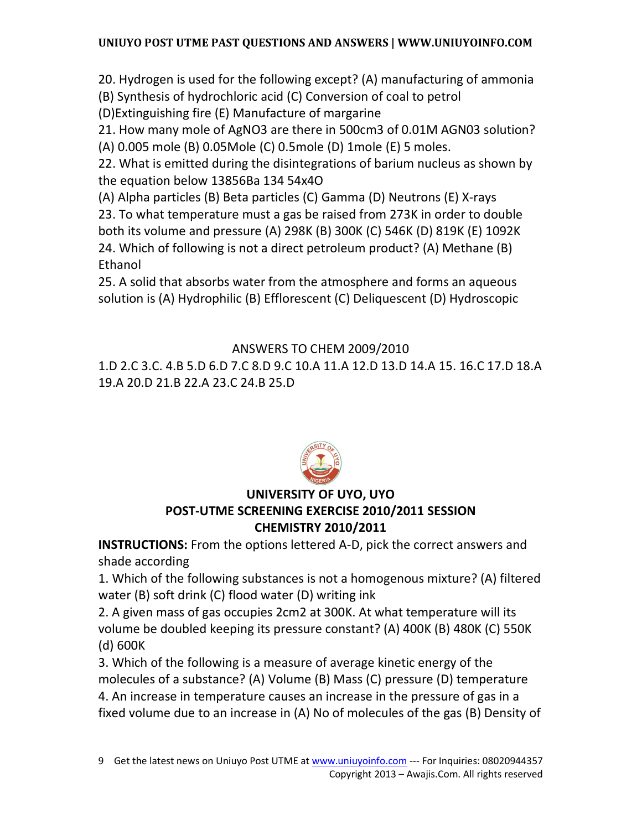20. Hydrogen is used for the following except? (A) manufacturing of ammonia

(B) Synthesis of hydrochloric acid (C) Conversion of coal to petrol

(D)Extinguishing fire (E) Manufacture of margarine

21. How many mole of AgNO3 are there in 500cm3 of 0.01M AGN03 solution?

(A) 0.005 mole (B) 0.05Mole (C) 0.5mole (D) 1mole (E) 5 moles.

22. What is emitted during the disintegrations of barium nucleus as shown by the equation below 13856Ba 134 54x4O

(A) Alpha particles (B) Beta particles (C) Gamma (D) Neutrons (E) X-rays

23. To what temperature must a gas be raised from 273K in order to double both its volume and pressure (A) 298K (B) 300K (C) 546K (D) 819K (E) 1092K 24. Which of following is not a direct petroleum product? (A) Methane (B) Ethanol

25. A solid that absorbs water from the atmosphere and forms an aqueous solution is (A) Hydrophilic (B) Efflorescent (C) Deliquescent (D) Hydroscopic

# ANSWERS TO CHEM 2009/2010

1.D 2.C 3.C. 4.B 5.D 6.D 7.C 8.D 9.C 10.A 11.A 12.D 13.D 14.A 15. 16.C 17.D 18.A 19.A 20.D 21.B 22.A 23.C 24.B 25.D



# **UNIVERSITY OF UYO, UYO**

## **POST-UTME SCREENING EXERCISE 2010/2011 SESSION CHEMISTRY 2010/2011**

**INSTRUCTIONS:** From the options lettered A-D, pick the correct answers and shade according

1. Which of the following substances is not a homogenous mixture? (A) filtered water (B) soft drink (C) flood water (D) writing ink

2. A given mass of gas occupies 2cm2 at 300K. At what temperature will its volume be doubled keeping its pressure constant? (A) 400K (B) 480K (C) 550K (d) 600K

3. Which of the following is a measure of average kinetic energy of the molecules of a substance? (A) Volume (B) Mass (C) pressure (D) temperature 4. An increase in temperature causes an increase in the pressure of gas in a fixed volume due to an increase in (A) No of molecules of the gas (B) Density of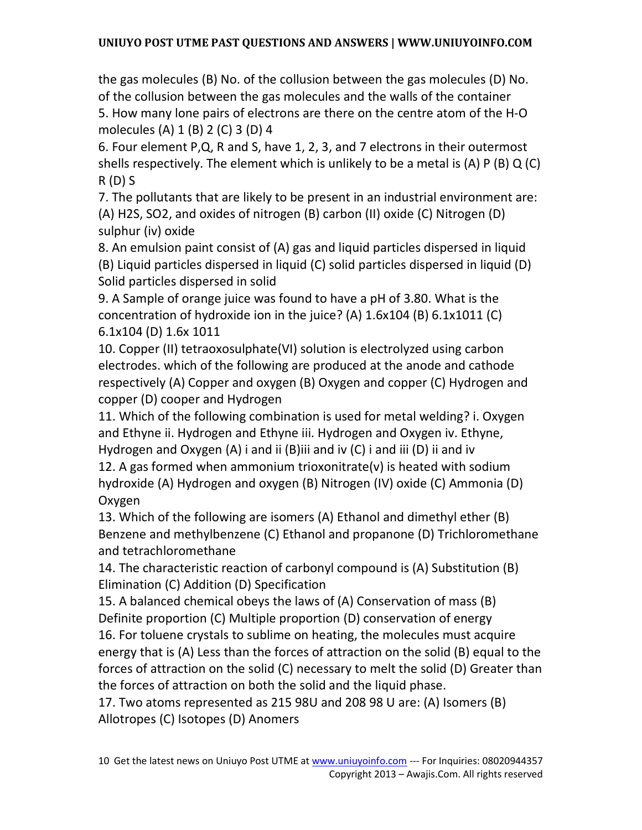the gas molecules (B) No. of the collusion between the gas molecules (D) No. of the collusion between the gas molecules and the walls of the container

5. How many lone pairs of electrons are there on the centre atom of the H-O molecules (A) 1 (B) 2 (C) 3 (D) 4

6. Four element P,Q, R and S, have 1, 2, 3, and 7 electrons in their outermost shells respectively. The element which is unlikely to be a metal is (A) P (B) Q (C) R (D) S

7. The pollutants that are likely to be present in an industrial environment are: (A) H2S, SO2, and oxides of nitrogen (B) carbon (II) oxide (C) Nitrogen (D) sulphur (iv) oxide

8. An emulsion paint consist of (A) gas and liquid particles dispersed in liquid (B) Liquid particles dispersed in liquid (C) solid particles dispersed in liquid (D) Solid particles dispersed in solid

9. A Sample of orange juice was found to have a pH of 3.80. What is the concentration of hydroxide ion in the juice? (A)  $1.6x104$  (B)  $6.1x1011$  (C) 6.1x104 (D) 1.6x 1011

10. Copper (II) tetraoxosulphate(VI) solution is electrolyzed using carbon electrodes. which of the following are produced at the anode and cathode respectively (A) Copper and oxygen (B) Oxygen and copper (C) Hydrogen and copper (D) cooper and Hydrogen

11. Which of the following combination is used for metal welding? i. Oxygen and Ethyne ii. Hydrogen and Ethyne iii. Hydrogen and Oxygen iv. Ethyne, Hydrogen and Oxygen (A) i and ii (B)iii and iv (C) i and iii (D) ii and iv

12. A gas formed when ammonium trioxonitrate(v) is heated with sodium hydroxide (A) Hydrogen and oxygen (B) Nitrogen (IV) oxide (C) Ammonia (D) Oxygen

13. Which of the following are isomers (A) Ethanol and dimethyl ether (B) Benzene and methylbenzene (C) Ethanol and propanone (D) Trichloromethane and tetrachloromethane

14. The characteristic reaction of carbonyl compound is (A) Substitution (B) Elimination (C) Addition (D) Specification

15. A balanced chemical obeys the laws of (A) Conservation of mass (B) Definite proportion (C) Multiple proportion (D) conservation of energy

16. For toluene crystals to sublime on heating, the molecules must acquire energy that is (A) Less than the forces of attraction on the solid (B) equal to the forces of attraction on the solid (C) necessary to melt the solid (D) Greater than the forces of attraction on both the solid and the liquid phase.

17. Two atoms represented as 215 98U and 208 98 U are: (A) Isomers (B) Allotropes (C) Isotopes (D) Anomers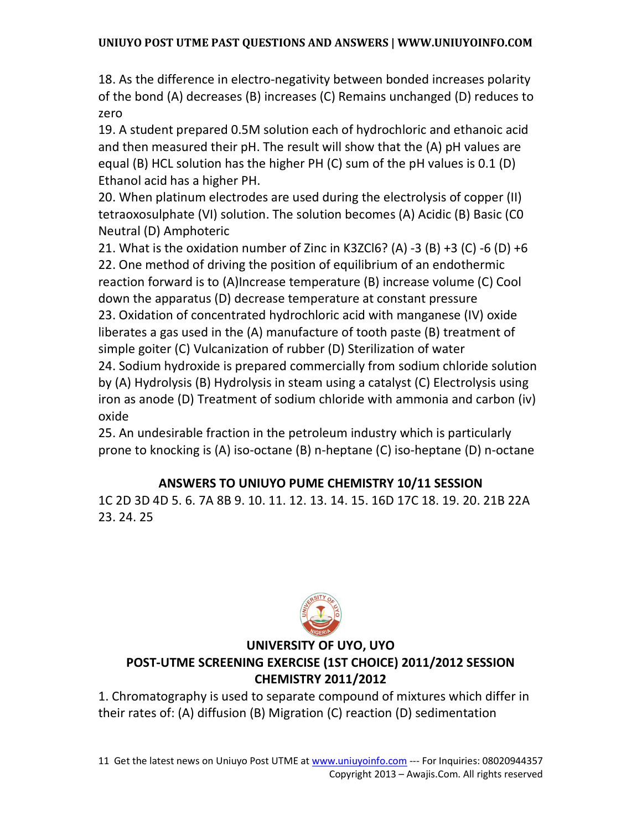18. As the difference in electro-negativity between bonded increases polarity of the bond (A) decreases (B) increases (C) Remains unchanged (D) reduces to zero

19. A student prepared 0.5M solution each of hydrochloric and ethanoic acid and then measured their pH. The result will show that the (A) pH values are equal (B) HCL solution has the higher PH (C) sum of the pH values is 0.1 (D) Ethanol acid has a higher PH.

20. When platinum electrodes are used during the electrolysis of copper (II) tetraoxosulphate (VI) solution. The solution becomes (A) Acidic (B) Basic (C0 Neutral (D) Amphoteric

21. What is the oxidation number of Zinc in K3ZCl6? (A) -3 (B) +3 (C) -6 (D) +6 22. One method of driving the position of equilibrium of an endothermic reaction forward is to (A)Increase temperature (B) increase volume (C) Cool down the apparatus (D) decrease temperature at constant pressure 23. Oxidation of concentrated hydrochloric acid with manganese (IV) oxide liberates a gas used in the (A) manufacture of tooth paste (B) treatment of simple goiter (C) Vulcanization of rubber (D) Sterilization of water 24. Sodium hydroxide is prepared commercially from sodium chloride solution by (A) Hydrolysis (B) Hydrolysis in steam using a catalyst (C) Electrolysis using iron as anode (D) Treatment of sodium chloride with ammonia and carbon (iv) oxide

25. An undesirable fraction in the petroleum industry which is particularly prone to knocking is (A) iso-octane (B) n-heptane (C) iso-heptane (D) n-octane

## **ANSWERS TO UNIUYO PUME CHEMISTRY 10/11 SESSION**

1C 2D 3D 4D 5. 6. 7A 8B 9. 10. 11. 12. 13. 14. 15. 16D 17C 18. 19. 20. 21B 22A 23. 24. 25



### **UNIVERSITY OF UYO, UYO**

### **POST-UTME SCREENING EXERCISE (1ST CHOICE) 2011/2012 SESSION CHEMISTRY 2011/2012**

1. Chromatography is used to separate compound of mixtures which differ in their rates of: (A) diffusion (B) Migration (C) reaction (D) sedimentation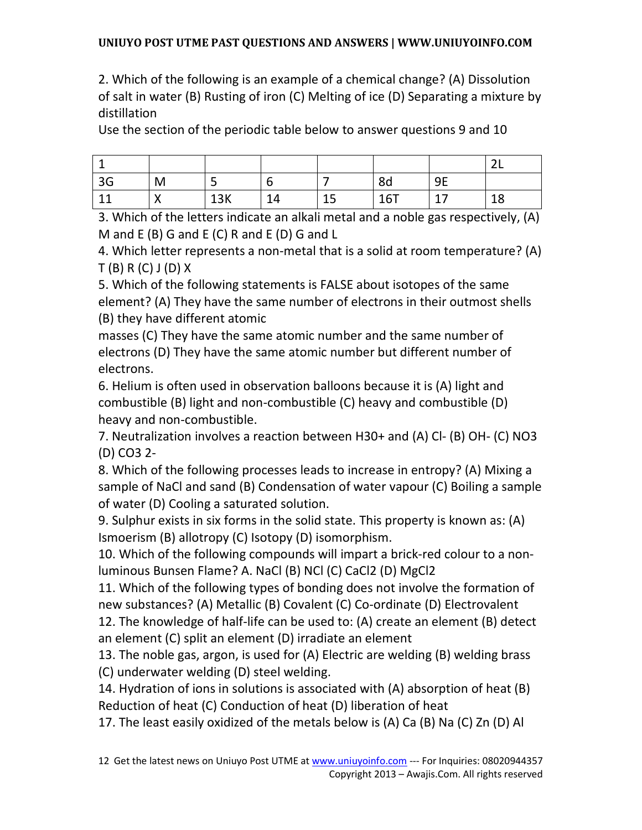2. Which of the following is an example of a chemical change? (A) Dissolution of salt in water (B) Rusting of iron (C) Melting of ice (D) Separating a mixture by distillation

Use the section of the periodic table below to answer questions 9 and 10

|    |                           |     |    |          |     |               | $\ddot{\phantom{1}}$<br>$\sim$ $\sim$ |
|----|---------------------------|-----|----|----------|-----|---------------|---------------------------------------|
| 3G | M                         | ٮ   |    |          | 8d  | <b>9E</b>     |                                       |
|    | $\checkmark$<br>$\lambda$ | 13K | 14 | 15<br>ᅩJ | 16T | $\sim$<br>∸ ′ | 18                                    |

3. Which of the letters indicate an alkali metal and a noble gas respectively, (A) M and E (B) G and E (C) R and E (D) G and L

4. Which letter represents a non-metal that is a solid at room temperature? (A) T (B) R (C) J (D) X

5. Which of the following statements is FALSE about isotopes of the same element? (A) They have the same number of electrons in their outmost shells (B) they have different atomic

masses (C) They have the same atomic number and the same number of electrons (D) They have the same atomic number but different number of electrons.

6. Helium is often used in observation balloons because it is (A) light and combustible (B) light and non-combustible (C) heavy and combustible (D) heavy and non-combustible.

7. Neutralization involves a reaction between H30+ and (A) Cl- (B) OH- (C) NO3 (D) CO3 2-

8. Which of the following processes leads to increase in entropy? (A) Mixing a sample of NaCl and sand (B) Condensation of water vapour (C) Boiling a sample of water (D) Cooling a saturated solution.

9. Sulphur exists in six forms in the solid state. This property is known as: (A) Ismoerism (B) allotropy (C) Isotopy (D) isomorphism.

10. Which of the following compounds will impart a brick-red colour to a nonluminous Bunsen Flame? A. NaCl (B) NCl (C) CaCl2 (D) MgCl2

11. Which of the following types of bonding does not involve the formation of new substances? (A) Metallic (B) Covalent (C) Co-ordinate (D) Electrovalent 12. The knowledge of half-life can be used to: (A) create an element (B) detect

an element (C) split an element (D) irradiate an element

13. The noble gas, argon, is used for (A) Electric are welding (B) welding brass (C) underwater welding (D) steel welding.

14. Hydration of ions in solutions is associated with (A) absorption of heat (B) Reduction of heat (C) Conduction of heat (D) liberation of heat

17. The least easily oxidized of the metals below is (A) Ca (B) Na (C) Zn (D) Al